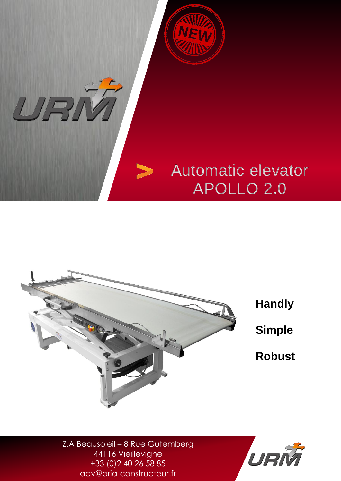



Z.A Beausoleil – 8 Rue Gutemberg 44116 Vieillevigne +33 (0)2 40 26 58 85 adv@aria-constructeur.fr